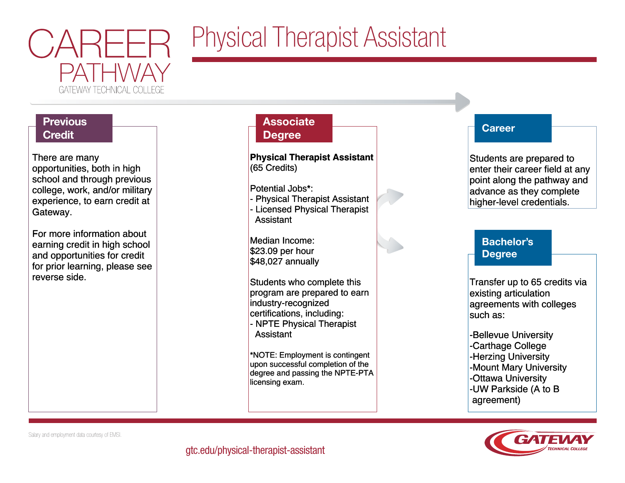

## Physical Therapist Assistant

## **Previous Credit**

There are many There are many opportunities, both in high opportunities, both in high school and through previous school and through previous college, work, and/or military college, work, and/or military experience, to earn credit at experience, to earn credit at Gateway. Gateway.

For more information about For more information about earning credit in high school earning credit in high school and opportunities for credit and opportunities for credit for prior learning, please see for prior learning, please see reverse side. reverse side.

### **Associate Degree**

**Physical Therapist Assistant Physical Therapist Assistant** (65 Credits) (65 Credits)

Potential Jobs\*: Potential Jobs\*:

- Physical Therapist Assistant - Physical Therapist Assistant - Licensed Physical Therapist - Licensed Physical Therapist Assistant Assistant

Median Income: Median Income: \$23.09 per hour \$23.09 per hour \$48,027 annually \$48,027 annually

Students who complete this Students who complete this program are prepared to earn program are prepared to earn industry-recognized industry-recognized certifications, including: certifications, including: - NPTE Physical Therapist - NPTE Physical Therapist Assistant Assistant

\*NOTE: Employment is contingent \*NOTE: Employment is contingent upon successful completion of the upon successful completion of the degree and passing the NPTE-PTA degree and passing the NPTE-PTA licensing exam. licensing exam.

### **Career**

Students are prepared to Students are prepared to enter their career field at any enter their career field at any point along the pathway and point along the pathway and advance as they complete advance as they complete higher-level credentials. higher-level credentials.

## Bachelor's Degree

Transfer up to 65 credits via Transfer up to 65 credits via existing articulation existing articulation agreements with colleges agreements with colleges such as: such as:

-Bellevue University -Bellevue University -Carthage College -Carthage College -Herzing University -Herzing University -Mount Mary University -Mount Mary University -Ottawa University -Ottawa University -UW Parkside (A to B -UW Parkside (A to B agreement) agreement)



Salary and employment data courtesy of EMSI.